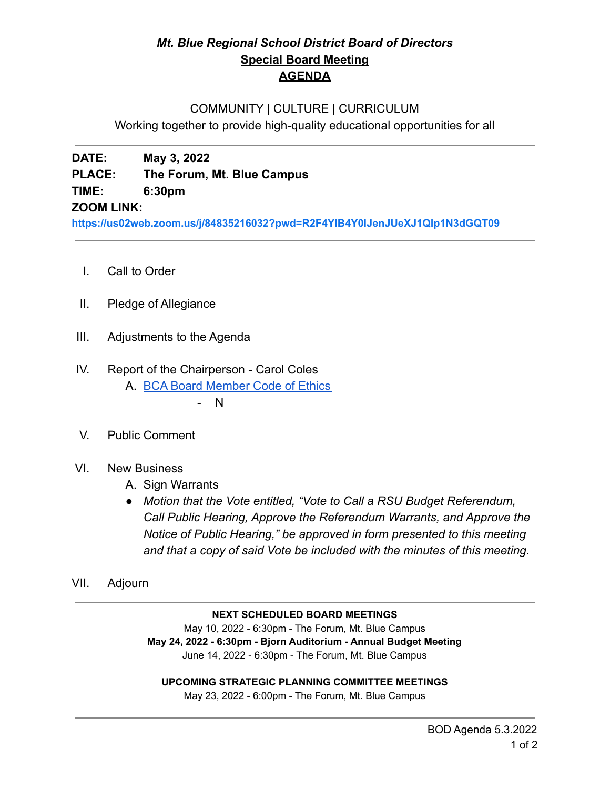## *Mt. Blue Regional School District Board of Directors* **Special Board Meeting AGENDA**

## COMMUNITY | CULTURE | CURRICULUM

Working together to provide high-quality educational opportunities for all

**DATE: May 3, 2022**

**PLACE: The Forum, Mt. Blue Campus**

**TIME: 6:30pm**

## **ZOOM LINK:**

**<https://us02web.zoom.us/j/84835216032?pwd=R2F4YlB4Y0lJenJUeXJ1Qlp1N3dGQT09>**

- I. Call to Order
- II. Pledge of Allegiance
- III. Adjustments to the Agenda

# IV. Report of the Chairperson - Carol Coles

A. [BCA Board Member Code of Ethics](https://cdn.branchcms.com/yeQ4XpK43n-1155/docs/district/board-of-directors/policy-manual/section-b/BCA-Board-Member-Code-of-Ethics.pdf)

 $\mathsf{N}$ 

- V. Public Comment
- VI. New Business
	- A. Sign Warrants
	- *● Motion that the Vote entitled, "Vote to Call a RSU Budget Referendum, Call Public Hearing, Approve the Referendum Warrants, and Approve the Notice of Public Hearing," be approved in form presented to this meeting and that a copy of said Vote be included with the minutes of this meeting.*
- VII. Adjourn

### **NEXT SCHEDULED BOARD MEETINGS**

May 10, 2022 - 6:30pm - The Forum, Mt. Blue Campus **May 24, 2022 - 6:30pm - Bjorn Auditorium - Annual Budget Meeting** June 14, 2022 - 6:30pm - The Forum, Mt. Blue Campus

### **UPCOMING STRATEGIC PLANNING COMMITTEE MEETINGS**

May 23, 2022 - 6:00pm - The Forum, Mt. Blue Campus